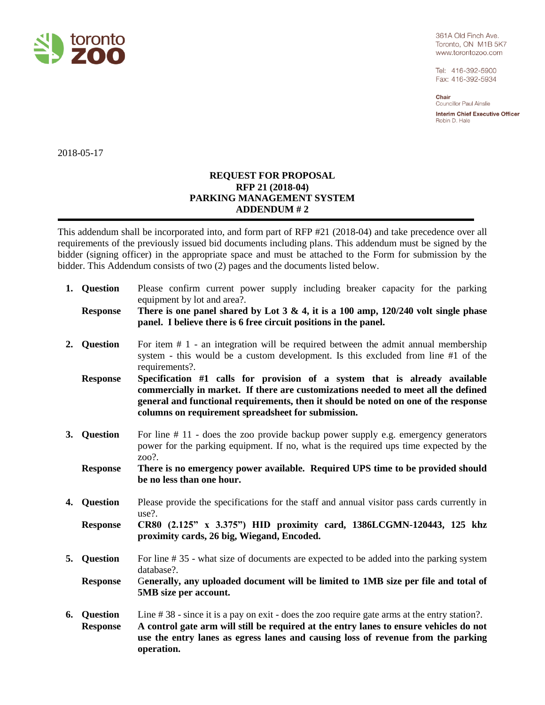

361A Old Finch Ave. Toronto, ON M1B 5K7 www.torontozoo.com

Tel: 416-392-5900 Fax: 416-392-5934

Chair Councillor Paul Ainslie

**Interim Chief Executive Officer** Robin D. Hale

2018-05-17

## **REQUEST FOR PROPOSAL RFP 21 (2018-04) PARKING MANAGEMENT SYSTEM ADDENDUM # 2**

This addendum shall be incorporated into, and form part of RFP #21 (2018-04) and take precedence over all requirements of the previously issued bid documents including plans. This addendum must be signed by the bidder (signing officer) in the appropriate space and must be attached to the Form for submission by the bidder. This Addendum consists of two (2) pages and the documents listed below.

| 1. Question                    | Please confirm current power supply including breaker capacity for the parking<br>equipment by lot and area?.                                                                                                                                                                                                 |
|--------------------------------|---------------------------------------------------------------------------------------------------------------------------------------------------------------------------------------------------------------------------------------------------------------------------------------------------------------|
| <b>Response</b>                | There is one panel shared by Lot $3 \& 4$ , it is a 100 amp, 120/240 volt single phase<br>panel. I believe there is 6 free circuit positions in the panel.                                                                                                                                                    |
| 2. Question                    | For item $# 1$ - an integration will be required between the admit annual membership<br>system - this would be a custom development. Is this excluded from line #1 of the<br>requirements?.                                                                                                                   |
| <b>Response</b>                | Specification #1 calls for provision of a system that is already available<br>commercially in market. If there are customizations needed to meet all the defined<br>general and functional requirements, then it should be noted on one of the response<br>columns on requirement spreadsheet for submission. |
| 3. Question                    | For line # 11 - does the zoo provide backup power supply e.g. emergency generators<br>power for the parking equipment. If no, what is the required ups time expected by the<br>$200$ ?.                                                                                                                       |
| <b>Response</b>                | There is no emergency power available. Required UPS time to be provided should<br>be no less than one hour.                                                                                                                                                                                                   |
| 4. Question                    | Please provide the specifications for the staff and annual visitor pass cards currently in<br>$use?$ .                                                                                                                                                                                                        |
| <b>Response</b>                | CR80 (2.125" x 3.375") HID proximity card, 1386LCGMN-120443, 125 khz<br>proximity cards, 26 big, Wiegand, Encoded.                                                                                                                                                                                            |
| 5. Question                    | For line #35 - what size of documents are expected to be added into the parking system<br>database?.                                                                                                                                                                                                          |
| <b>Response</b>                | Generally, any uploaded document will be limited to 1MB size per file and total of<br>5MB size per account.                                                                                                                                                                                                   |
| 6. Question<br><b>Response</b> | Line $\#$ 38 - since it is a pay on exit - does the zoo require gate arms at the entry station?.<br>A control gate arm will still be required at the entry lanes to ensure vehicles do not<br>use the entry lanes as egress lanes and causing loss of revenue from the parking                                |

**operation.**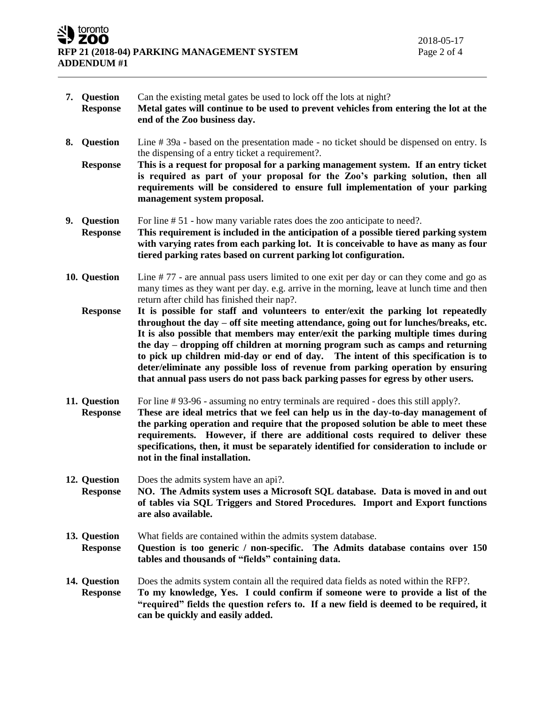toronto ZOO **RFP 21 (2018-04) PARKING MANAGEMENT SYSTEM** Page 2 of 4 **ADDENDUM #1**

- **7. Question** Can the existing metal gates be used to lock off the lots at night? **Response Metal gates will continue to be used to prevent vehicles from entering the lot at the end of the Zoo business day.**
- **8. Question** Line # 39a based on the presentation made no ticket should be dispensed on entry. Is the dispensing of a entry ticket a requirement?.
	- **Response This is a request for proposal for a parking management system. If an entry ticket is required as part of your proposal for the Zoo's parking solution, then all requirements will be considered to ensure full implementation of your parking management system proposal.**
- **9. Question** For line # 51 how many variable rates does the zoo anticipate to need?.
- **Response This requirement is included in the anticipation of a possible tiered parking system with varying rates from each parking lot. It is conceivable to have as many as four tiered parking rates based on current parking lot configuration.**
- **10. Question** Line # 77 are annual pass users limited to one exit per day or can they come and go as many times as they want per day. e.g. arrive in the morning, leave at lunch time and then return after child has finished their nap?.
	- **Response It is possible for staff and volunteers to enter/exit the parking lot repeatedly throughout the day – off site meeting attendance, going out for lunches/breaks, etc. It is also possible that members may enter/exit the parking multiple times during the day – dropping off children at morning program such as camps and returning to pick up children mid-day or end of day. The intent of this specification is to deter/eliminate any possible loss of revenue from parking operation by ensuring that annual pass users do not pass back parking passes for egress by other users.**
- **11. Question** For line # 93-96 assuming no entry terminals are required does this still apply?. **Response These are ideal metrics that we feel can help us in the day-to-day management of the parking operation and require that the proposed solution be able to meet these requirements. However, if there are additional costs required to deliver these specifications, then, it must be separately identified for consideration to include or not in the final installation.**
- **12. Question** Does the admits system have an api?. **Response NO. The Admits system uses a Microsoft SQL database. Data is moved in and out of tables via SQL Triggers and Stored Procedures. Import and Export functions are also available.**
- **13. Question** What fields are contained within the admits system database. **Response Question is too generic / non-specific. The Admits database contains over 150 tables and thousands of "fields" containing data.**
- **14. Question** Does the admits system contain all the required data fields as noted within the RFP?. **Response To my knowledge, Yes. I could confirm if someone were to provide a list of the "required" fields the question refers to. If a new field is deemed to be required, it can be quickly and easily added.**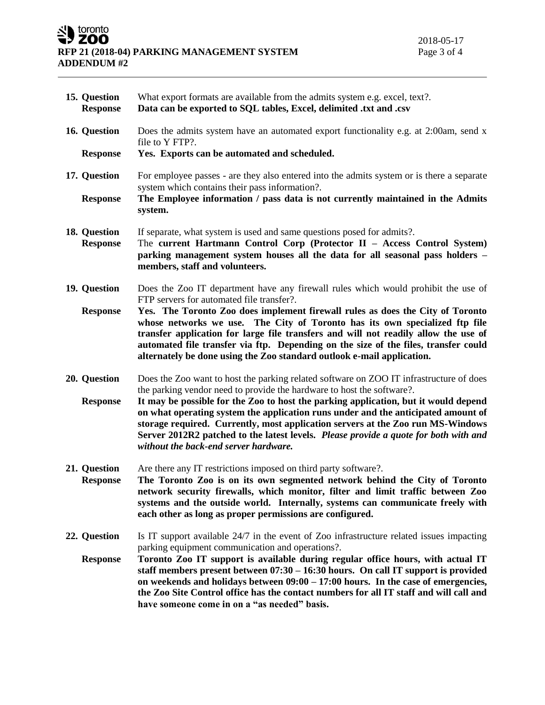## SU toronto **RFP 21 (2018-04) PARKING MANAGEMENT SYSTEM ADDENDUM #2**

 $\sim$ 

| 15. Question<br><b>Response</b> | What export formats are available from the admits system e.g. excel, text?.<br>Data can be exported to SQL tables, Excel, delimited .txt and .csv                                                                                                                                                                                                                                                                     |
|---------------------------------|-----------------------------------------------------------------------------------------------------------------------------------------------------------------------------------------------------------------------------------------------------------------------------------------------------------------------------------------------------------------------------------------------------------------------|
| 16. Question                    | Does the admits system have an automated export functionality e.g. at 2:00am, send x<br>file to Y FTP?.                                                                                                                                                                                                                                                                                                               |
| <b>Response</b>                 | Yes. Exports can be automated and scheduled.                                                                                                                                                                                                                                                                                                                                                                          |
| 17. Question                    | For employee passes - are they also entered into the admits system or is there a separate<br>system which contains their pass information?.                                                                                                                                                                                                                                                                           |
| <b>Response</b>                 | The Employee information / pass data is not currently maintained in the Admits<br>system.                                                                                                                                                                                                                                                                                                                             |
| 18. Question<br><b>Response</b> | If separate, what system is used and same questions posed for admits?.<br>The current Hartmann Control Corp (Protector II - Access Control System)<br>parking management system houses all the data for all seasonal pass holders -<br>members, staff and volunteers.                                                                                                                                                 |
| 19. Question                    | Does the Zoo IT department have any firewall rules which would prohibit the use of<br>FTP servers for automated file transfer?.                                                                                                                                                                                                                                                                                       |
| <b>Response</b>                 | Yes. The Toronto Zoo does implement firewall rules as does the City of Toronto<br>whose networks we use. The City of Toronto has its own specialized ftp file<br>transfer application for large file transfers and will not readily allow the use of<br>automated file transfer via ftp. Depending on the size of the files, transfer could<br>alternately be done using the Zoo standard outlook e-mail application. |
| 20. Question                    | Does the Zoo want to host the parking related software on ZOO IT infrastructure of does<br>the parking vendor need to provide the hardware to host the software?.                                                                                                                                                                                                                                                     |
| <b>Response</b>                 | It may be possible for the Zoo to host the parking application, but it would depend<br>on what operating system the application runs under and the anticipated amount of<br>storage required. Currently, most application servers at the Zoo run MS-Windows<br>Server 2012R2 patched to the latest levels. Please provide a quote for both with and<br>without the back-end server hardware.                          |
| 21. Question<br><b>Response</b> | Are there any IT restrictions imposed on third party software?.<br>The Toronto Zoo is on its own segmented network behind the City of Toronto<br>network security firewalls, which monitor, filter and limit traffic between Zoo<br>systems and the outside world. Internally, systems can communicate freely with<br>each other as long as proper permissions are configured.                                        |
| 22. Question                    | Is IT support available 24/7 in the event of Zoo infrastructure related issues impacting<br>parking equipment communication and operations?.                                                                                                                                                                                                                                                                          |
| <b>Response</b>                 | Toronto Zoo IT support is available during regular office hours, with actual IT<br>staff members present between $07:30 - 16:30$ hours. On call IT support is provided<br>on weekends and holidays between $09:00 - 17:00$ hours. In the case of emergencies,<br>the Zoo Site Control office has the contact numbers for all IT staff and will call and<br>have someone come in on a "as needed" basis.               |